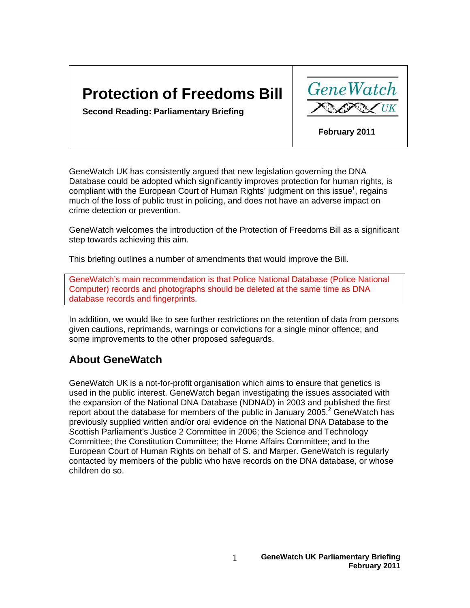# **Protection of Freedoms Bill**

**GeneWatch** 

**Second Reading: Parliamentary Briefing** 

 **February 2011**

GeneWatch UK has consistently argued that new legislation governing the DNA Database could be adopted which significantly improves protection for human rights, is compliant with the European Court of Human Rights' judgment on this issue<sup>1</sup>, regains much of the loss of public trust in policing, and does not have an adverse impact on crime detection or prevention.

GeneWatch welcomes the introduction of the Protection of Freedoms Bill as a significant step towards achieving this aim.

This briefing outlines a number of amendments that would improve the Bill.

GeneWatch's main recommendation is that Police National Database (Police National Computer) records and photographs should be deleted at the same time as DNA database records and fingerprints.

In addition, we would like to see further restrictions on the retention of data from persons given cautions, reprimands, warnings or convictions for a single minor offence; and some improvements to the other proposed safeguards.

### **About GeneWatch**

GeneWatch UK is a not-for-profit organisation which aims to ensure that genetics is used in the public interest. GeneWatch began investigating the issues associated with the expansion of the National DNA Database (NDNAD) in 2003 and published the first report about the database for members of the public in January 2005. $^2$  GeneWatch has previously supplied written and/or oral evidence on the National DNA Database to the Scottish Parliament's Justice 2 Committee in 2006; the Science and Technology Committee; the Constitution Committee; the Home Affairs Committee; and to the European Court of Human Rights on behalf of S. and Marper. GeneWatch is regularly contacted by members of the public who have records on the DNA database, or whose children do so.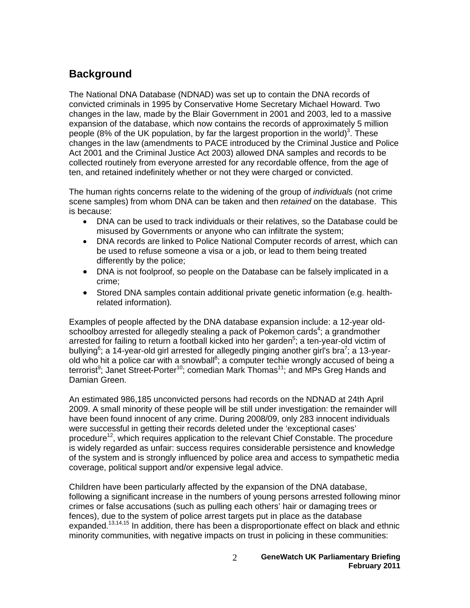## **Background**

The National DNA Database (NDNAD) was set up to contain the DNA records of convicted criminals in 1995 by Conservative Home Secretary Michael Howard. Two changes in the law, made by the Blair Government in 2001 and 2003, led to a massive expansion of the database, which now contains the records of approximately 5 million people (8% of the UK population, by far the largest proportion in the world)<sup>3</sup>. These changes in the law (amendments to PACE introduced by the Criminal Justice and Police Act 2001 and the Criminal Justice Act 2003) allowed DNA samples and records to be collected routinely from everyone arrested for any recordable offence, from the age of ten, and retained indefinitely whether or not they were charged or convicted.

The human rights concerns relate to the widening of the group of *individuals* (not crime scene samples) from whom DNA can be taken and then *retained* on the database. This is because:

- DNA can be used to track individuals or their relatives, so the Database could be misused by Governments or anyone who can infiltrate the system;
- DNA records are linked to Police National Computer records of arrest, which can be used to refuse someone a visa or a job, or lead to them being treated differently by the police;
- DNA is not foolproof, so people on the Database can be falsely implicated in a crime;
- Stored DNA samples contain additional private genetic information (e.g. healthrelated information).

Examples of people affected by the DNA database expansion include: a 12-year oldschoolboy arrested for allegedly stealing a pack of Pokemon cards<sup>4</sup>; a grandmother arrested for failing to return a football kicked into her garden<sup>5</sup>; a ten-year-old victim of bullying<sup>6</sup>; a 14-year-old girl arrested for allegedly pinging another girl's bra<sup>7</sup>; a 13-yearold who hit a police car with a snowball<sup>8</sup>; a computer techie wrongly accused of being a terrorist<sup>9</sup>; Janet Street-Porter<sup>10</sup>; comedian Mark Thomas<sup>11</sup>; and MPs Greg Hands and Damian Green.

An estimated 986,185 unconvicted persons had records on the NDNAD at 24th April 2009. A small minority of these people will be still under investigation: the remainder will have been found innocent of any crime. During 2008/09, only 283 innocent individuals were successful in getting their records deleted under the 'exceptional cases' procedure<sup>12</sup>, which requires application to the relevant Chief Constable. The procedure is widely regarded as unfair: success requires considerable persistence and knowledge of the system and is strongly influenced by police area and access to sympathetic media coverage, political support and/or expensive legal advice.

Children have been particularly affected by the expansion of the DNA database, following a significant increase in the numbers of young persons arrested following minor crimes or false accusations (such as pulling each others' hair or damaging trees or fences), due to the system of police arrest targets put in place as the database expanded.<sup>13,14,15</sup> In addition, there has been a disproportionate effect on black and ethnic minority communities, with negative impacts on trust in policing in these communities: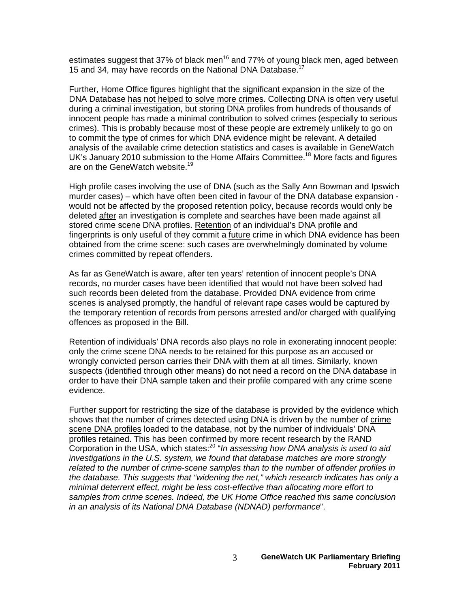estimates suggest that 37% of black men<sup>16</sup> and 77% of young black men, aged between 15 and 34, may have records on the National DNA Database.<sup>17</sup>

Further, Home Office figures highlight that the significant expansion in the size of the DNA Database has not helped to solve more crimes. Collecting DNA is often very useful during a criminal investigation, but storing DNA profiles from hundreds of thousands of innocent people has made a minimal contribution to solved crimes (especially to serious crimes). This is probably because most of these people are extremely unlikely to go on to commit the type of crimes for which DNA evidence might be relevant. A detailed analysis of the available crime detection statistics and cases is available in GeneWatch UK's January 2010 submission to the Home Affairs Committee.<sup>18</sup> More facts and figures are on the GeneWatch website.<sup>19</sup>

High profile cases involving the use of DNA (such as the Sally Ann Bowman and Ipswich murder cases) – which have often been cited in favour of the DNA database expansion would not be affected by the proposed retention policy, because records would only be deleted after an investigation is complete and searches have been made against all stored crime scene DNA profiles. Retention of an individual's DNA profile and fingerprints is only useful of they commit a future crime in which DNA evidence has been obtained from the crime scene: such cases are overwhelmingly dominated by volume crimes committed by repeat offenders.

As far as GeneWatch is aware, after ten years' retention of innocent people's DNA records, no murder cases have been identified that would not have been solved had such records been deleted from the database. Provided DNA evidence from crime scenes is analysed promptly, the handful of relevant rape cases would be captured by the temporary retention of records from persons arrested and/or charged with qualifying offences as proposed in the Bill.

Retention of individuals' DNA records also plays no role in exonerating innocent people: only the crime scene DNA needs to be retained for this purpose as an accused or wrongly convicted person carries their DNA with them at all times. Similarly, known suspects (identified through other means) do not need a record on the DNA database in order to have their DNA sample taken and their profile compared with any crime scene evidence.

Further support for restricting the size of the database is provided by the evidence which shows that the number of crimes detected using DNA is driven by the number of crime scene DNA profiles loaded to the database, not by the number of individuals' DNA profiles retained. This has been confirmed by more recent research by the RAND Corporation in the USA, which states:20 "*In assessing how DNA analysis is used to aid investigations in the U.S. system, we found that database matches are more strongly related to the number of crime-scene samples than to the number of offender profiles in the database. This suggests that "widening the net," which research indicates has only a minimal deterrent effect, might be less cost-effective than allocating more effort to samples from crime scenes. Indeed, the UK Home Office reached this same conclusion in an analysis of its National DNA Database (NDNAD) performance*".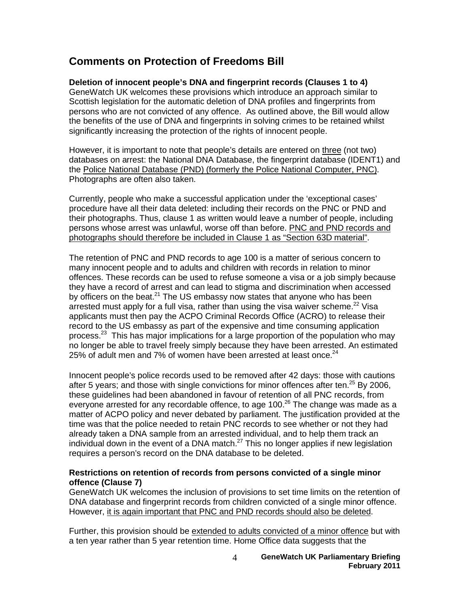### **Comments on Protection of Freedoms Bill**

### **Deletion of innocent people's DNA and fingerprint records (Clauses 1 to 4)**

GeneWatch UK welcomes these provisions which introduce an approach similar to Scottish legislation for the automatic deletion of DNA profiles and fingerprints from persons who are not convicted of any offence. As outlined above, the Bill would allow the benefits of the use of DNA and fingerprints in solving crimes to be retained whilst significantly increasing the protection of the rights of innocent people.

However, it is important to note that people's details are entered on three (not two) databases on arrest: the National DNA Database, the fingerprint database (IDENT1) and the Police National Database (PND) (formerly the Police National Computer, PNC). Photographs are often also taken.

Currently, people who make a successful application under the 'exceptional cases' procedure have all their data deleted: including their records on the PNC or PND and their photographs. Thus, clause 1 as written would leave a number of people, including persons whose arrest was unlawful, worse off than before. PNC and PND records and photographs should therefore be included in Clause 1 as "Section 63D material".

The retention of PNC and PND records to age 100 is a matter of serious concern to many innocent people and to adults and children with records in relation to minor offences. These records can be used to refuse someone a visa or a job simply because they have a record of arrest and can lead to stigma and discrimination when accessed by officers on the beat. $^{21}$  The US embassy now states that anyone who has been arrested must apply for a full visa, rather than using the visa waiver scheme. $^{22}$  Visa applicants must then pay the ACPO Criminal Records Office (ACRO) to release their record to the US embassy as part of the expensive and time consuming application process.<sup>23</sup> This has major implications for a large proportion of the population who may no longer be able to travel freely simply because they have been arrested. An estimated 25% of adult men and 7% of women have been arrested at least once. $^{24}$ 

Innocent people's police records used to be removed after 42 days: those with cautions after 5 years; and those with single convictions for minor offences after ten. $^{25}$  By 2006, these guidelines had been abandoned in favour of retention of all PNC records, from everyone arrested for any recordable offence, to age  $100<sup>26</sup>$  The change was made as a matter of ACPO policy and never debated by parliament. The justification provided at the time was that the police needed to retain PNC records to see whether or not they had already taken a DNA sample from an arrested individual, and to help them track an individual down in the event of a DNA match. $27$  This no longer applies if new legislation requires a person's record on the DNA database to be deleted.

#### **Restrictions on retention of records from persons convicted of a single minor offence (Clause 7)**

GeneWatch UK welcomes the inclusion of provisions to set time limits on the retention of DNA database and fingerprint records from children convicted of a single minor offence. However, it is again important that PNC and PND records should also be deleted.

Further, this provision should be extended to adults convicted of a minor offence but with a ten year rather than 5 year retention time. Home Office data suggests that the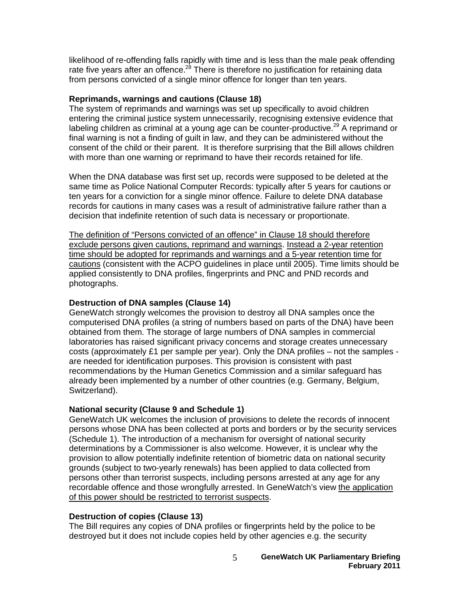likelihood of re-offending falls rapidly with time and is less than the male peak offending rate five years after an offence.<sup>28</sup> There is therefore no justification for retaining data from persons convicted of a single minor offence for longer than ten years.

#### **Reprimands, warnings and cautions (Clause 18)**

The system of reprimands and warnings was set up specifically to avoid children entering the criminal justice system unnecessarily, recognising extensive evidence that labeling children as criminal at a young age can be counter-productive.<sup>29</sup> A reprimand or final warning is not a finding of guilt in law, and they can be administered without the consent of the child or their parent. It is therefore surprising that the Bill allows children with more than one warning or reprimand to have their records retained for life.

When the DNA database was first set up, records were supposed to be deleted at the same time as Police National Computer Records: typically after 5 years for cautions or ten years for a conviction for a single minor offence. Failure to delete DNA database records for cautions in many cases was a result of administrative failure rather than a decision that indefinite retention of such data is necessary or proportionate.

The definition of "Persons convicted of an offence" in Clause 18 should therefore exclude persons given cautions, reprimand and warnings. Instead a 2-year retention time should be adopted for reprimands and warnings and a 5-year retention time for cautions (consistent with the ACPO guidelines in place until 2005). Time limits should be applied consistently to DNA profiles, fingerprints and PNC and PND records and photographs.

#### **Destruction of DNA samples (Clause 14)**

GeneWatch strongly welcomes the provision to destroy all DNA samples once the computerised DNA profiles (a string of numbers based on parts of the DNA) have been obtained from them. The storage of large numbers of DNA samples in commercial laboratories has raised significant privacy concerns and storage creates unnecessary costs (approximately £1 per sample per year). Only the DNA profiles – not the samples are needed for identification purposes. This provision is consistent with past recommendations by the Human Genetics Commission and a similar safeguard has already been implemented by a number of other countries (e.g. Germany, Belgium, Switzerland).

#### **National security (Clause 9 and Schedule 1)**

GeneWatch UK welcomes the inclusion of provisions to delete the records of innocent persons whose DNA has been collected at ports and borders or by the security services (Schedule 1). The introduction of a mechanism for oversight of national security determinations by a Commissioner is also welcome. However, it is unclear why the provision to allow potentially indefinite retention of biometric data on national security grounds (subject to two-yearly renewals) has been applied to data collected from persons other than terrorist suspects, including persons arrested at any age for any recordable offence and those wrongfully arrested. In GeneWatch's view the application of this power should be restricted to terrorist suspects.

#### **Destruction of copies (Clause 13)**

The Bill requires any copies of DNA profiles or fingerprints held by the police to be destroyed but it does not include copies held by other agencies e.g. the security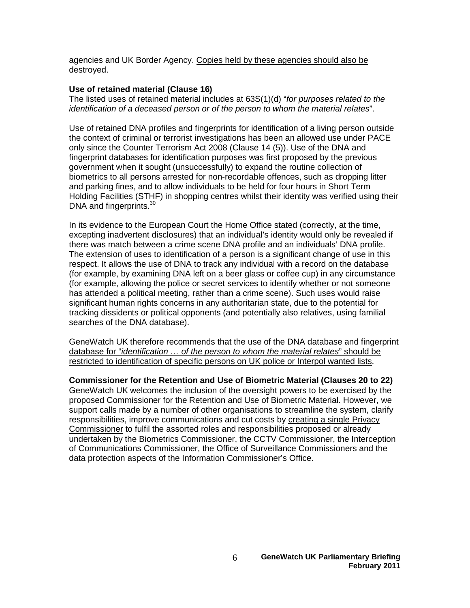agencies and UK Border Agency. Copies held by these agencies should also be destroyed.

#### **Use of retained material (Clause 16)**

The listed uses of retained material includes at 63S(1)(d) "*for purposes related to the identification of a deceased person or of the person to whom the material relates*".

Use of retained DNA profiles and fingerprints for identification of a living person outside the context of criminal or terrorist investigations has been an allowed use under PACE only since the Counter Terrorism Act 2008 (Clause 14 (5)). Use of the DNA and fingerprint databases for identification purposes was first proposed by the previous government when it sought (unsuccessfully) to expand the routine collection of biometrics to all persons arrested for non-recordable offences, such as dropping litter and parking fines, and to allow individuals to be held for four hours in Short Term Holding Facilities (STHF) in shopping centres whilst their identity was verified using their DNA and fingerprints.<sup>30</sup>

In its evidence to the European Court the Home Office stated (correctly, at the time, excepting inadvertent disclosures) that an individual's identity would only be revealed if there was match between a crime scene DNA profile and an individuals' DNA profile. The extension of uses to identification of a person is a significant change of use in this respect. It allows the use of DNA to track any individual with a record on the database (for example, by examining DNA left on a beer glass or coffee cup) in any circumstance (for example, allowing the police or secret services to identify whether or not someone has attended a political meeting, rather than a crime scene). Such uses would raise significant human rights concerns in any authoritarian state, due to the potential for tracking dissidents or political opponents (and potentially also relatives, using familial searches of the DNA database).

GeneWatch UK therefore recommends that the use of the DNA database and fingerprint database for "*identification … of the person to whom the material relates*" should be restricted to identification of specific persons on UK police or Interpol wanted lists.

**Commissioner for the Retention and Use of Biometric Material (Clauses 20 to 22)** GeneWatch UK welcomes the inclusion of the oversight powers to be exercised by the proposed Commissioner for the Retention and Use of Biometric Material. However, we support calls made by a number of other organisations to streamline the system, clarify responsibilities, improve communications and cut costs by creating a single Privacy Commissioner to fulfil the assorted roles and responsibilities proposed or already undertaken by the Biometrics Commissioner, the CCTV Commissioner, the Interception of Communications Commissioner, the Office of Surveillance Commissioners and the data protection aspects of the Information Commissioner's Office.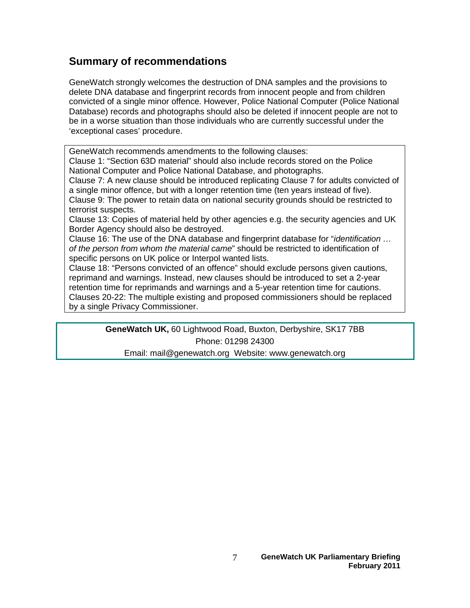### **Summary of recommendations**

GeneWatch strongly welcomes the destruction of DNA samples and the provisions to delete DNA database and fingerprint records from innocent people and from children convicted of a single minor offence. However, Police National Computer (Police National Database) records and photographs should also be deleted if innocent people are not to be in a worse situation than those individuals who are currently successful under the 'exceptional cases' procedure.

GeneWatch recommends amendments to the following clauses:

Clause 1: "Section 63D material" should also include records stored on the Police National Computer and Police National Database, and photographs.

Clause 7: A new clause should be introduced replicating Clause 7 for adults convicted of a single minor offence, but with a longer retention time (ten years instead of five). Clause 9: The power to retain data on national security grounds should be restricted to

terrorist suspects.

Clause 13: Copies of material held by other agencies e.g. the security agencies and UK Border Agency should also be destroyed.

Clause 16: The use of the DNA database and fingerprint database for "*identification … of the person from whom the material came*" should be restricted to identification of specific persons on UK police or Interpol wanted lists.

Clause 18: "Persons convicted of an offence" should exclude persons given cautions, reprimand and warnings. Instead, new clauses should be introduced to set a 2-year retention time for reprimands and warnings and a 5-year retention time for cautions. Clauses 20-22: The multiple existing and proposed commissioners should be replaced by a single Privacy Commissioner.

> **GeneWatch UK,** 60 Lightwood Road, Buxton, Derbyshire, SK17 7BB Phone: 01298 24300

Email: mail@genewatch.org Website: www.genewatch.org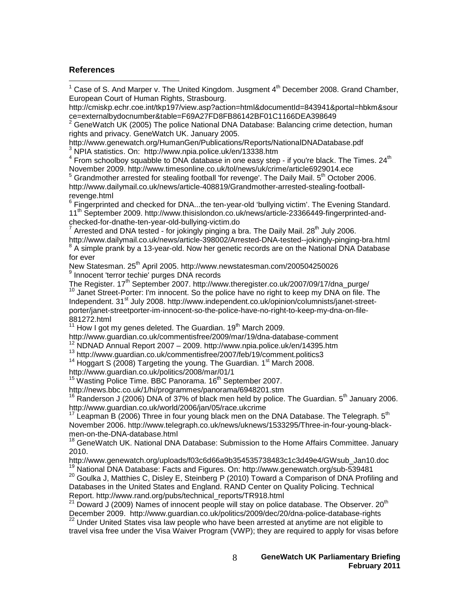#### **References**

 $\overline{a}$ 

http://cmiskp.echr.coe.int/tkp197/view.asp?action=html&documentId=843941&portal=hbkm&sour ce=externalbydocnumber&table=F69A27FD8FB86142BF01C1166DEA398649

 $2^2$  GeneWatch UK (2005) The police National DNA Database: Balancing crime detection, human rights and privacy. GeneWatch UK. January 2005.

http://www.genewatch.org/HumanGen/Publications/Reports/NationalDNADatabase.pdf<br><sup>3</sup> NPIA statistics. On: http://www.npia.police.uk/en/13338.htm

 $3$  From schoolboy squabble to DNA database in one easy step - if you're black. The Times. 24<sup>th</sup> November 2009. http://www.timesonline.co.uk/tol/news/uk/crime/article6929014.ece

 $5$  Grandmother arrested for stealing football 'for revenge'. The Daily Mail.  $5<sup>th</sup>$  October 2006. http://www.dailymail.co.uk/news/article-408819/Grandmother-arrested-stealing-footballrevenge.html

 $6$  Fingerprinted and checked for DNA...the ten-year-old 'bullying victim'. The Evening Standard. 11th September 2009. http://www.thisislondon.co.uk/news/article-23366449-fingerprinted-andchecked-for-dnathe-ten-year-old-bullying-victim.do

Arrested and DNA tested - for jokingly pinging a bra. The Daily Mail. 28<sup>th</sup> July 2006.

http://www.dailymail.co.uk/news/article-398002/Arrested-DNA-tested--jokingly-pinging-bra.html  $8$  A simple prank by a 13-year-old. Now her genetic records are on the National DNA Database for ever

New Statesman. 25<sup>th</sup> April 2005. http://www.newstatesman.com/200504250026<br><sup>9</sup> Innocent 'terror techie' purges DNA records

The Register. 17<sup>th</sup> September 2007. http://www.theregister.co.uk/2007/09/17/dna\_purge/<br><sup>10</sup> Janet Street-Porter: I'm innocent. So the police have no right to keep my DNA on file. The Independent. 31<sup>st</sup> July 2008. http://www.independent.co.uk/opinion/columnists/janet-streetporter/janet-streetporter-im-innocent-so-the-police-have-no-right-to-keep-my-dna-on-file-

881272.html

 $11$  How I got my genes deleted. The Guardian.  $19<sup>th</sup>$  March 2009.

http://www.guardian.co.uk/commentisfree/2009/mar/19/dna-database-comment

<sup>12</sup> NDNAD Annual Report 2007 – 2009. http://www.npia.police.uk/en/14395.htm<br><sup>13</sup> http://www.guardian.co.uk/commentisfree/2007/feb/19/comment.politics3<br><sup>14</sup> Hoggart S (2008) Targeting the young. The Guardian. 1<sup>st</sup> March 2

http://www.guardian.co.uk/politics/2008/mar/01/1

<sup>15</sup> Wasting Police Time. BBC Panorama. 16<sup>th</sup> September 2007.

http://news.bbc.co.uk/1/hi/programmes/panorama/6948201.stm

 $16$  Randerson J (2006) DNA of 37% of black men held by police. The Guardian.  $5<sup>th</sup>$  January 2006. http://www.guardian.co.uk/world/2006/jan/05/race.ukcrime

<sup>17</sup> Leapman B (2006) Three in four young black men on the DNA Database. The Telegraph.  $5<sup>th</sup>$ November 2006. http://www.telegraph.co.uk/news/uknews/1533295/Three-in-four-young-blackmen-on-the-DNA-database.html

<sup>18</sup> GeneWatch UK. National DNA Database: Submission to the Home Affairs Committee. January 2010.

http://www.genewatch.org/uploads/f03c6d66a9b354535738483c1c3d49e4/GWsub\_Jan10.doc<br><sup>19</sup> National DNA Database: Facts and Figures. On: http://www.genewatch.org/sub-539481

<sup>20</sup> Goulka J, Matthies C, Disley E, Steinberg P (2010) Toward a Comparison of DNA Profiling and Databases in the United States and England. RAND Center on Quality Policing. Technical Report. http://www.rand.org/pubs/technical\_reports/TR918.html

 $21$  Doward J (2009) Names of innocent people will stay on police database. The Observer. 20<sup>th</sup> December 2009. http://www.guardian.co.uk/politics/2009/dec/20/dna-police-database-rights

<sup>22</sup> Under United States visa law people who have been arrested at anytime are not eligible to travel visa free under the Visa Waiver Program (VWP); they are required to apply for visas before

 $1$  Case of S. And Marper v. The United Kingdom. Jusgment  $4<sup>th</sup>$  December 2008. Grand Chamber, European Court of Human Rights, Strasbourg.